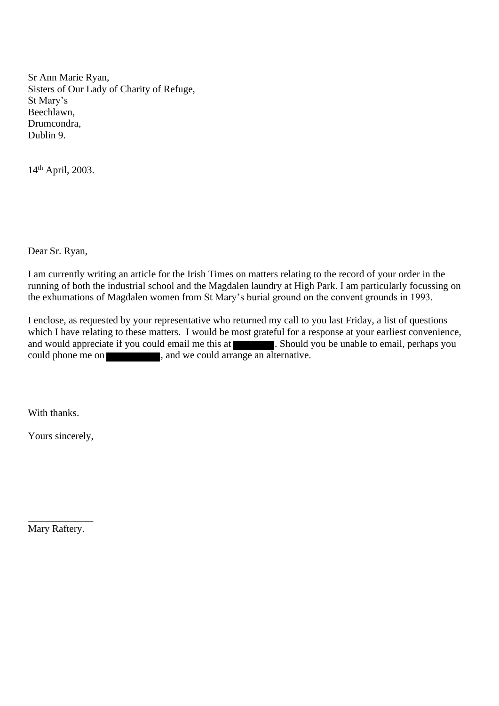Sr Ann Marie Ryan, Sisters of Our Lady of Charity of Refuge, St Mary's Beechlawn, Drumcondra, Dublin 9.

14th April, 2003.

Dear Sr. Ryan,

I am currently writing an article for the Irish Times on matters relating to the record of your order in the running of both the industrial school and the Magdalen laundry at High Park. I am particularly focussing on the exhumations of Magdalen women from St Mary's burial ground on the convent grounds in 1993.

I enclose, as requested by your representative who returned my call to you last Friday, a list of questions which I have relating to these matters. I would be most grateful for a response at your earliest convenience, and would appreciate if you could email me this at **. Should you be unable to email, perhaps you** could phone me on , and we could arrange an alternative.

With thanks.

Yours sincerely,

\_\_\_\_\_\_\_\_\_\_\_\_\_ Mary Raftery.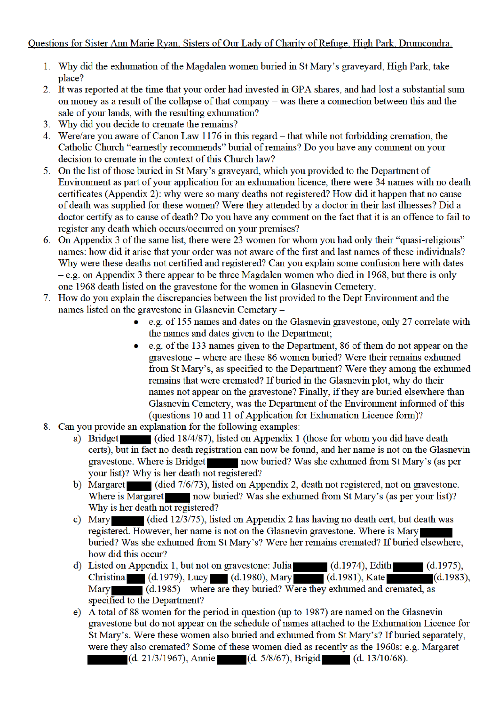## Questions for Sister Ann Marie Ryan, Sisters of Our Lady of Charity of Refuge, High Park, Drumcondra.

- 1. Why did the exhumation of the Magdalen women buried in St Mary's graveyard, High Park, take place?
- 2. It was reported at the time that your order had invested in GPA shares, and had lost a substantial sum on money as a result of the collapse of that company – was there a connection between this and the sale of your lands, with the resulting exhumation?
- 3. Why did you decide to cremate the remains?
- 4. Were/are you aware of Canon Law 1176 in this regard that while not forbidding cremation, the Catholic Church "earnestly recommends" burial of remains? Do you have any comment on your decision to cremate in the context of this Church law?
- 5. On the list of those buried in St Mary's graveyard, which you provided to the Department of Environment as part of your application for an exhumation licence, there were 34 names with no death certificates (Appendix 2): why were so many deaths not registered? How did it happen that no cause of death was supplied for these women? Were they attended by a doctor in their last illnesses? Did a doctor certify as to cause of death? Do you have any comment on the fact that it is an offence to fail to register any death which occurs/occurred on your premises?
- 6. On Appendix 3 of the same list, there were 23 women for whom you had only their "quasi-religious" names: how did it arise that your order was not aware of the first and last names of these individuals? Why were these deaths not certified and registered? Can you explain some confusion here with dates  $-e.g.$  on Appendix 3 there appear to be three Magdalen women who died in 1968, but there is only one 1968 death listed on the gravestone for the women in Glasnevin Cemetery.
- 7. How do you explain the discrepancies between the list provided to the Dept Environment and the names listed on the gravestone in Glasnevin Cemetary -
	- e.g. of 155 names and dates on the Glasnevin gravestone, only 27 correlate with the names and dates given to the Department;
	- e.g. of the 133 names given to the Department, 86 of them do not appear on the gravestone – where are these 86 women buried? Were their remains exhumed from St Mary's, as specified to the Department? Were they among the exhumed remains that were cremated? If buried in the Glasnevin plot, why do their names not appear on the gravestone? Finally, if they are buried elsewhere than Glasnevin Cemetery, was the Department of the Environment informed of this (questions 10 and 11 of Application for Exhumation Licence form)?
- 8. Can you provide an explanation for the following examples:
	- a) Bridget (died 18/4/87), listed on Appendix 1 (those for whom you did have death certs), but in fact no death registration can now be found, and her name is not on the Glasnevin gravestone. Where is Bridget now buried? Was she exhumed from St Mary's (as per your list)? Why is her death not registered?
	- b) Margaret (died 7/6/73), listed on Appendix 2, death not registered, not on gravestone. Where is Margaret now buried? Was she exhumed from St Mary's (as per your list)? Why is her death not registered?
	- c) Mary (died 12/3/75), listed on Appendix 2 has having no death cert, but death was registered. However, her name is not on the Glasnevin gravestone. Where is Mary buried? Was she exhumed from St Mary's? Were her remains cremated? If buried elsewhere, how did this occur?
	- d) Listed on Appendix 1, but not on gravestone: Julia (d.1974), Edith (d.1975), Christina (d.1979), Lucy (d.1980), Mary (d.1981), Kate (Mary (d.1985) – where are they buried? Were they exhumed and cremated, as  $(d.1983)$ , specified to the Department?
	- e) A total of 88 women for the period in question (up to 1987) are named on the Glasnevin gravestone but do not appear on the schedule of names attached to the Exhumation Licence for St Mary's. Were these women also buried and exhumed from St Mary's? If buried separately, were they also cremated? Some of these women died as recently as the 1960s: e.g. Margaret  $(d. 21/3/1967)$ , Annie (d. 5/8/67), Brigid (d. 13/10/68).